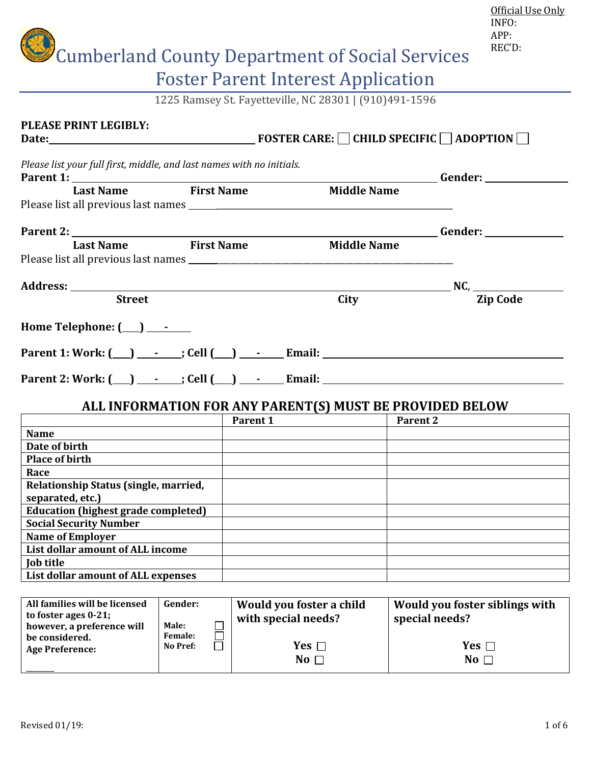|                                                                                                       |                                       |                                                                      |                    | Official Use Only<br>INFO:<br>APP:<br>REC'D:                                                                  |
|-------------------------------------------------------------------------------------------------------|---------------------------------------|----------------------------------------------------------------------|--------------------|---------------------------------------------------------------------------------------------------------------|
|                                                                                                       |                                       | <b>Cumberland County Department of Social Services</b>               |                    |                                                                                                               |
|                                                                                                       |                                       | <b>Foster Parent Interest Application</b>                            |                    |                                                                                                               |
|                                                                                                       |                                       | 1225 Ramsey St. Fayetteville, NC 28301   (910)491-1596               |                    |                                                                                                               |
| <b>PLEASE PRINT LEGIBLY:</b>                                                                          |                                       |                                                                      |                    |                                                                                                               |
| Please list your full first, middle, and last names with no initials.<br>Parent 1:                    |                                       |                                                                      |                    | Gender: National Contract of the Second Second Second Second Second Second Second Second Second Second Second |
| <b>Last Name</b>                                                                                      | First Name                            |                                                                      | <b>Middle Name</b> |                                                                                                               |
| Last Name First Name                                                                                  |                                       |                                                                      | <b>Middle Name</b> | <b>Gender:</b> <u>Gender:</u>                                                                                 |
| <b>Street</b>                                                                                         |                                       |                                                                      | City               | <b>Zip Code</b>                                                                                               |
| Home Telephone: $(\_\_\_\_\_$                                                                         |                                       |                                                                      |                    |                                                                                                               |
|                                                                                                       |                                       |                                                                      |                    |                                                                                                               |
|                                                                                                       |                                       | ALL INFORMATION FOR ANY PARENT(S) MUST BE PROVIDED BELOW<br>Parent 1 | Parent 2           |                                                                                                               |
| <b>Name</b>                                                                                           |                                       |                                                                      |                    |                                                                                                               |
| Date of birth                                                                                         |                                       |                                                                      |                    |                                                                                                               |
| <b>Place of birth</b>                                                                                 |                                       |                                                                      |                    |                                                                                                               |
| Race<br>Relationship Status (single, married,<br>separated, etc.)                                     |                                       |                                                                      |                    |                                                                                                               |
| <b>Education (highest grade completed)</b>                                                            |                                       |                                                                      |                    |                                                                                                               |
| <b>Social Security Number</b>                                                                         |                                       |                                                                      |                    |                                                                                                               |
| <b>Name of Employer</b><br>List dollar amount of ALL income                                           |                                       |                                                                      |                    |                                                                                                               |
| <b>Job title</b>                                                                                      |                                       |                                                                      |                    |                                                                                                               |
| List dollar amount of ALL expenses                                                                    |                                       |                                                                      |                    |                                                                                                               |
|                                                                                                       |                                       |                                                                      |                    |                                                                                                               |
| All families will be licensed<br>to foster ages 0-21;<br>however, a preference will<br>be considered. | Gender:<br>Male:<br>$\Box$<br>Female: | Would you foster a child<br>with special needs?                      |                    | Would you foster siblings with<br>special needs?                                                              |
| <b>Age Preference:</b>                                                                                | No Pref:                              | Yes $\Box$<br>No $\square$                                           |                    | Yes $\Box$<br>No $\square$                                                                                    |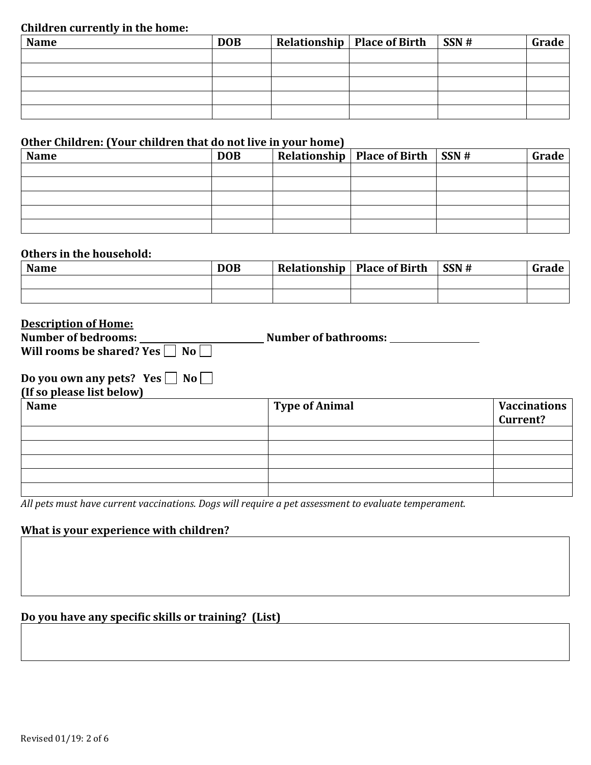#### **Children currently in the home:**

| <b>Name</b> | <b>DOB</b> | Relationship   Place of Birth   SSN # | Grade |
|-------------|------------|---------------------------------------|-------|
|             |            |                                       |       |
|             |            |                                       |       |
|             |            |                                       |       |
|             |            |                                       |       |
|             |            |                                       |       |

#### **Other Children: (Your children that do not live in your home)**

| <b>Name</b> | <b>DOB</b> | Relationship   Place of Birth $\vert$ SSN # | Grade |
|-------------|------------|---------------------------------------------|-------|
|             |            |                                             |       |
|             |            |                                             |       |
|             |            |                                             |       |
|             |            |                                             |       |
|             |            |                                             |       |

#### **Others in the household:**

| <b>Name</b> | <b>DOB</b> | <b>Relationship</b>   Place of Birth | SSN# | Grade |
|-------------|------------|--------------------------------------|------|-------|
|             |            |                                      |      |       |
|             |            |                                      |      |       |

#### **Description of Home:**

| <b>Number of bedrooms:</b>                 | <b>Number of bathrooms:</b> |
|--------------------------------------------|-----------------------------|
| Will rooms be shared? Yes $\Box$ No $\Box$ |                             |
|                                            |                             |
| No  <br>Do you own any pets? Yes           |                             |

**(If so please list below)** 

| <b>Name</b> | <b>Type of Animal</b> | <b>Vaccinations</b><br>Current? |
|-------------|-----------------------|---------------------------------|
|             |                       |                                 |
|             |                       |                                 |
|             |                       |                                 |
|             |                       |                                 |
|             |                       |                                 |

*All pets must have current vaccinations. Dogs will require a pet assessment to evaluate temperament.*

#### **What is your experience with children?**

### **Do you have any specific skills or training? (List)**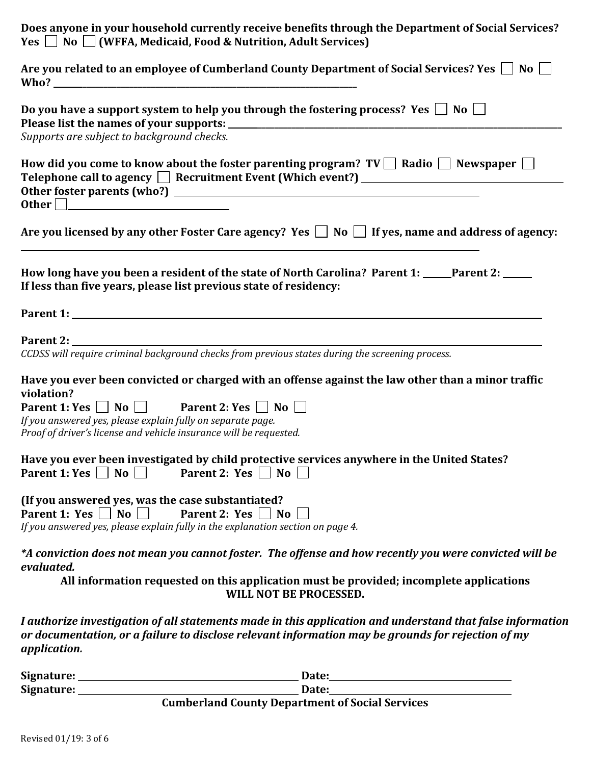| Does anyone in your household currently receive benefits through the Department of Social Services?<br>Yes $\Box$ No $\Box$ (WFFA, Medicaid, Food & Nutrition, Adult Services)                                                   |
|----------------------------------------------------------------------------------------------------------------------------------------------------------------------------------------------------------------------------------|
| Are you related to an employee of Cumberland County Department of Social Services? Yes $\Box$ No $\Box$                                                                                                                          |
| Do you have a support system to help you through the fostering process? Yes $\Box$ No $\Box$                                                                                                                                     |
| Supports are subject to background checks.                                                                                                                                                                                       |
| How did you come to know about the foster parenting program? $TV \Box$ Radio $\Box$ Newspaper $\Box$<br>Telephone call to agency □ Recruitment Event (Which event?) ___________________________<br>0ther <u>Denomination</u>     |
| Are you licensed by any other Foster Care agency? Yes $\Box$ No $\Box$ If yes, name and address of agency:                                                                                                                       |
| How long have you been a resident of the state of North Carolina? Parent 1: _____Parent 2: _____<br>If less than five years, please list previous state of residency:                                                            |
|                                                                                                                                                                                                                                  |
| CCDSS will require criminal background checks from previous states during the screening process.                                                                                                                                 |
| Have you ever been convicted or charged with an offense against the law other than a minor traffic<br>violation?                                                                                                                 |
| Parent 1: Yes $\Box$ No $\Box$ Parent 2: Yes $\Box$ No $\Box$                                                                                                                                                                    |
| If you answered yes, please explain fully on separate page.<br>Proof of driver's license and vehicle insurance will be requested.                                                                                                |
| Have you ever been investigated by child protective services anywhere in the United States?<br>Parent 1: Yes $\vert$   No $\vert$  <br>Parent 2: Yes $\Box$ No                                                                   |
| (If you answered yes, was the case substantiated?<br>Parent 1: Yes $\Box$ No $\Box$<br>Parent 2: $Yes \mid \mid No \mid$<br>If you answered yes, please explain fully in the explanation section on page 4.                      |
| *A conviction does not mean you cannot foster. The offense and how recently you were convicted will be<br>evaluated.                                                                                                             |
| All information requested on this application must be provided; incomplete applications<br>WILL NOT BE PROCESSED.                                                                                                                |
| I authorize investigation of all statements made in this application and understand that false information<br>or documentation, or a failure to disclose relevant information may be grounds for rejection of my<br>application. |

| Signature: | Date:                                                  |
|------------|--------------------------------------------------------|
| Signature: | Date:                                                  |
|            | <b>Cumberland County Department of Social Services</b> |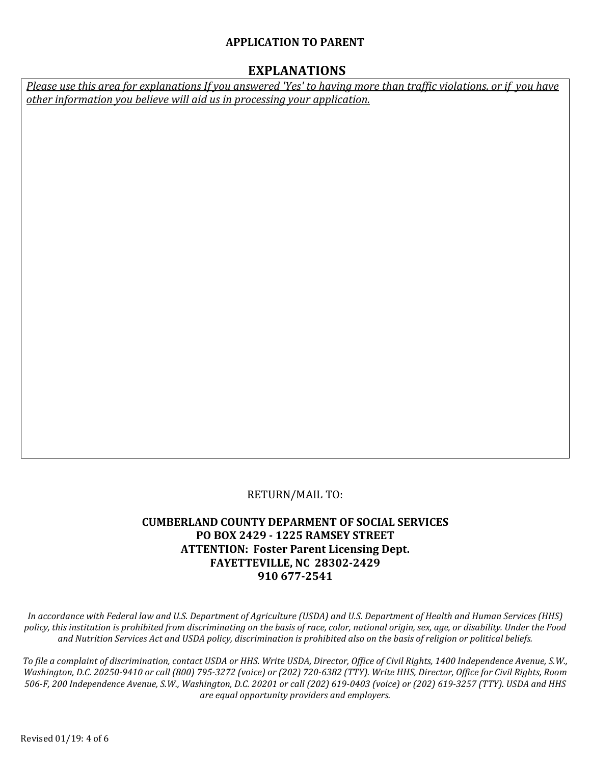#### **APPLICATION TO PARENT**

#### **EXPLANATIONS**

*Please use this area for explanations If you answered 'Yes' to having more than traffic violations, or if you have other information you believe will aid us in processing your application.*

#### RETURN/MAIL TO:

#### **CUMBERLAND COUNTY DEPARMENT OF SOCIAL SERVICES PO BOX 2429 - 1225 RAMSEY STREET ATTENTION: Foster Parent Licensing Dept. FAYETTEVILLE, NC 28302-2429 910 677-2541**

*In accordance with Federal law and U.S. Department of Agriculture (USDA) and U.S. Department of Health and Human Services (HHS) policy, this institution is prohibited from discriminating on the basis of race, color, national origin, sex, age, or disability. Under the Food and Nutrition Services Act and USDA policy, discrimination is prohibited also on the basis of religion or political beliefs.*

*To file a complaint of discrimination, contact USDA or HHS. Write USDA, Director, Office of Civil Rights, 1400 Independence Avenue, S.W., Washington, D.C. 20250-9410 or call (800) 795-3272 (voice) or (202) 720-6382 (TTY). Write HHS, Director, Office for Civil Rights, Room 506-F, 200 Independence Avenue, S.W., Washington, D.C. 20201 or call (202) 619-0403 (voice) or (202) 619-3257 (TTY). USDA and HHS are equal opportunity providers and employers.*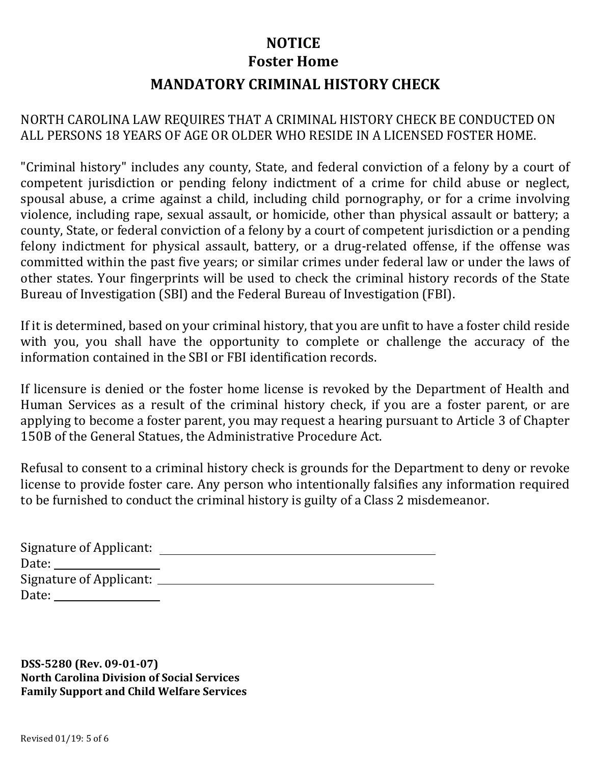# **MANDATORY CRIMINAL HISTORY CHECK NOTICE Foster Home**

## NORTH CAROLINA LAW REQUIRES THAT A CRIMINAL HISTORY CHECK BE CONDUCTED ON ALL PERSONS 18 YEARS OF AGE OR OLDER WHO RESIDE IN A LICENSED FOSTER HOME.

"Criminal history" includes any county, State, and federal conviction of a felony by a court of competent jurisdiction or pending felony indictment of a crime for child abuse or neglect, spousal abuse, a crime against a child, including child pornography, or for a crime involving violence, including rape, sexual assault, or homicide, other than physical assault or battery; a county, State, or federal conviction of a felony by a court of competent jurisdiction or a pending felony indictment for physical assault, battery, or a drug-related offense, if the offense was committed within the past five years; or similar crimes under federal law or under the laws of other states. Your fingerprints will be used to check the criminal history records of the State Bureau of Investigation (SBI) and the Federal Bureau of Investigation (FBI).

If it is determined, based on your criminal history, that you are unfit to have a foster child reside with you, you shall have the opportunity to complete or challenge the accuracy of the information contained in the SBI or FBI identification records.

If licensure is denied or the foster home license is revoked by the Department of Health and Human Services as a result of the criminal history check, if you are a foster parent, or are applying to become a foster parent, you may request a hearing pursuant to Article 3 of Chapter 150B of the General Statues, the Administrative Procedure Act.

Refusal to consent to a criminal history check is grounds for the Department to deny or revoke license to provide foster care. Any person who intentionally falsifies any information required to be furnished to conduct the criminal history is guilty of a Class 2 misdemeanor.

| Signature of Applicant:                                                                                                                                                                                                        |  |
|--------------------------------------------------------------------------------------------------------------------------------------------------------------------------------------------------------------------------------|--|
| Date:                                                                                                                                                                                                                          |  |
| Signature of Applicant: ____                                                                                                                                                                                                   |  |
| Date: the contract of the contract of the contract of the contract of the contract of the contract of the contract of the contract of the contract of the contract of the contract of the contract of the contract of the cont |  |

**DSS-5280 (Rev. 09-01-07) North Carolina Division of Social Services Family Support and Child Welfare Services**